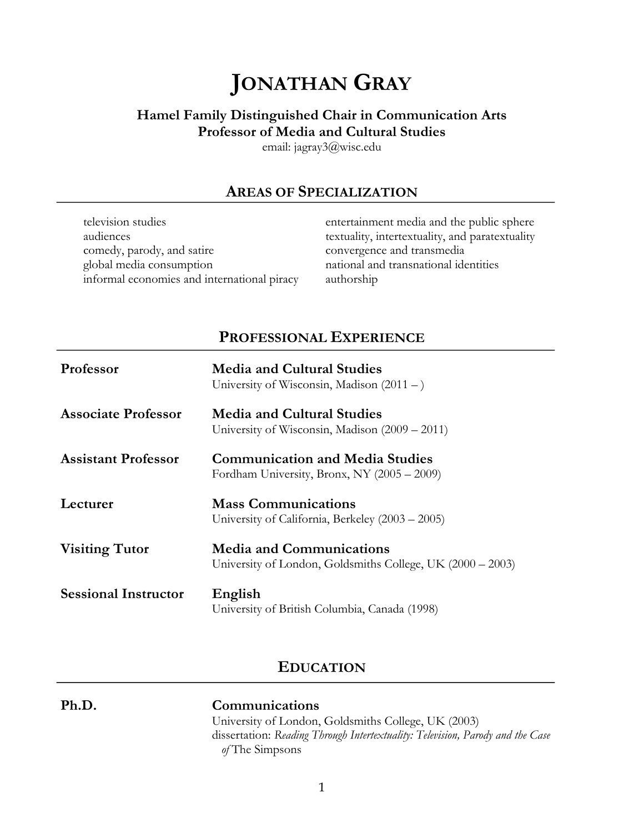# **JONATHAN GRAY**

# **Hamel Family Distinguished Chair in Communication Arts Professor of Media and Cultural Studies**

email: jagray3@wisc.edu

# **AREAS OF SPECIALIZATION**

| television studies                          | entertainment media and the public sphere       |
|---------------------------------------------|-------------------------------------------------|
| audiences                                   | textuality, intertextuality, and paratextuality |
| comedy, parody, and satire                  | convergence and transmedia                      |
| global media consumption                    | national and transnational identities           |
| informal economies and international piracy | authorship                                      |

# **PROFESSIONAL EXPERIENCE**

| Professor                   | <b>Media and Cultural Studies</b><br>University of Wisconsin, Madison $(2011 - )$             |
|-----------------------------|-----------------------------------------------------------------------------------------------|
| <b>Associate Professor</b>  | <b>Media and Cultural Studies</b><br>University of Wisconsin, Madison $(2009 – 2011)$         |
| <b>Assistant Professor</b>  | <b>Communication and Media Studies</b><br>Fordham University, Bronx, NY (2005 - 2009)         |
| Lecturer                    | <b>Mass Communications</b><br>University of California, Berkeley (2003 – 2005)                |
| <b>Visiting Tutor</b>       | <b>Media and Communications</b><br>University of London, Goldsmiths College, UK (2000 – 2003) |
| <b>Sessional Instructor</b> | English<br>University of British Columbia, Canada (1998)                                      |

# **EDUCATION**

#### **Ph.D. Communications** University of London, Goldsmiths College, UK (2003) dissertation: *Reading Through Intertextuality: Television, Parody and the Case of* The Simpsons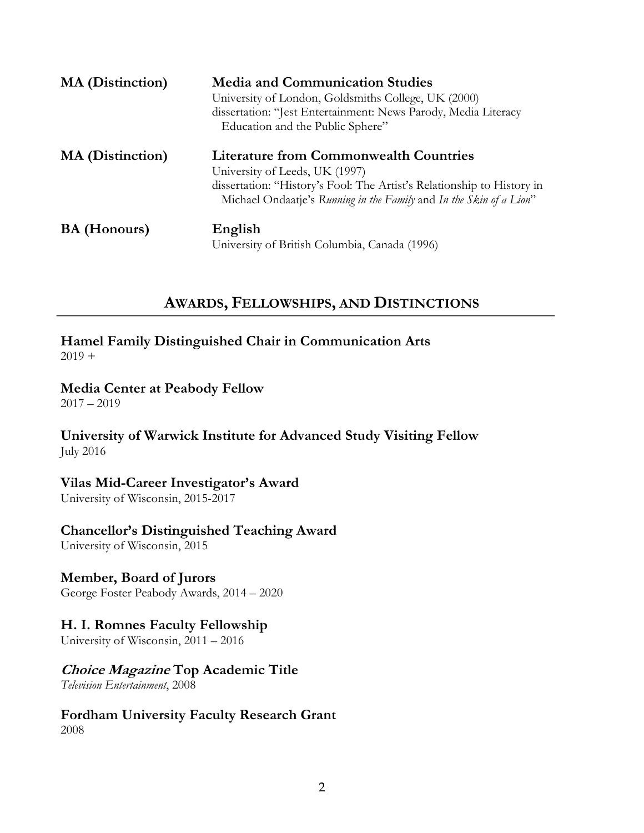| <b>MA</b> (Distinction) | <b>Media and Communication Studies</b><br>University of London, Goldsmiths College, UK (2000)<br>dissertation: "Jest Entertainment: News Parody, Media Literacy<br>Education and the Public Sphere"                              |  |
|-------------------------|----------------------------------------------------------------------------------------------------------------------------------------------------------------------------------------------------------------------------------|--|
| <b>MA</b> (Distinction) | <b>Literature from Commonwealth Countries</b><br>University of Leeds, UK (1997)<br>dissertation: "History's Fool: The Artist's Relationship to History in<br>Michael Ondaatje's Running in the Family and In the Skin of a Lion" |  |
| <b>BA</b> (Honours)     | English<br>University of British Columbia, Canada (1996)                                                                                                                                                                         |  |

# **AWARDS, FELLOWSHIPS, AND DISTINCTIONS**

**Hamel Family Distinguished Chair in Communication Arts**  $2019 +$ 

### **Media Center at Peabody Fellow**

 $2017 - 2019$ 

### **University of Warwick Institute for Advanced Study Visiting Fellow** July 2016

### **Vilas Mid-Career Investigator's Award**

University of Wisconsin, 2015-2017

### **Chancellor's Distinguished Teaching Award**

University of Wisconsin, 2015

### **Member, Board of Jurors**

George Foster Peabody Awards, 2014 – 2020

### **H. I. Romnes Faculty Fellowship**

University of Wisconsin, 2011 – 2016

# **Choice Magazine Top Academic Title**

*Television Entertainment*, 2008

### **Fordham University Faculty Research Grant** 2008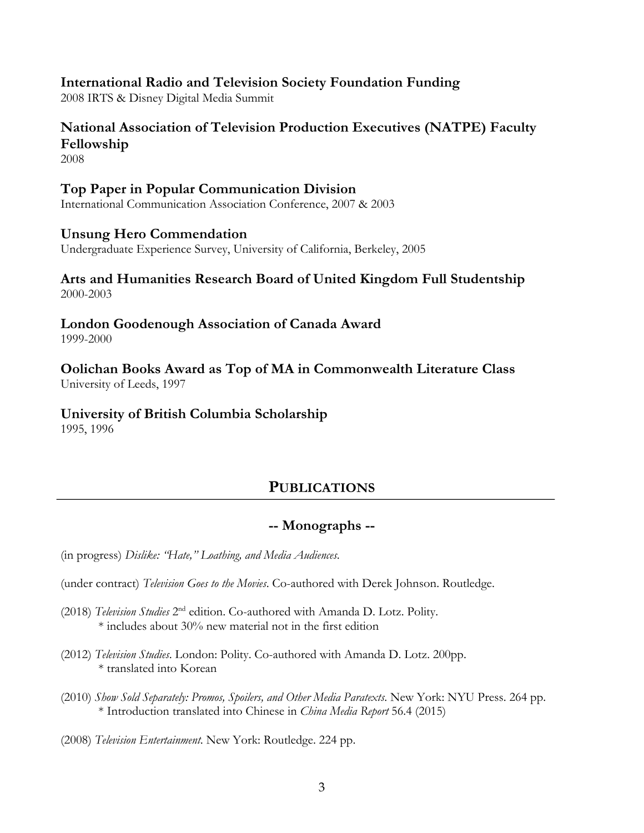### **International Radio and Television Society Foundation Funding**

2008 IRTS & Disney Digital Media Summit

### **National Association of Television Production Executives (NATPE) Faculty Fellowship**

2008

### **Top Paper in Popular Communication Division**

International Communication Association Conference, 2007 & 2003

### **Unsung Hero Commendation**

Undergraduate Experience Survey, University of California, Berkeley, 2005

#### **Arts and Humanities Research Board of United Kingdom Full Studentship** 2000-2003

**London Goodenough Association of Canada Award** 1999-2000

# **Oolichan Books Award as Top of MA in Commonwealth Literature Class**

University of Leeds, 1997

# **University of British Columbia Scholarship**

1995, 1996

# **PUBLICATIONS**

### **-- Monographs --**

(in progress) *Dislike: "Hate," Loathing, and Media Audiences*.

(under contract) *Television Goes to the Movies*. Co-authored with Derek Johnson. Routledge.

- (2018) *Television Studies* 2nd edition. Co-authored with Amanda D. Lotz. Polity. \* includes about 30% new material not in the first edition
- (2012) *Television Studies*. London: Polity. Co-authored with Amanda D. Lotz. 200pp. \* translated into Korean
- (2010) *Show Sold Separately: Promos, Spoilers, and Other Media Paratexts*. New York: NYU Press. 264 pp. \* Introduction translated into Chinese in *China Media Report* 56.4 (2015)

(2008) *Television Entertainment*. New York: Routledge. 224 pp.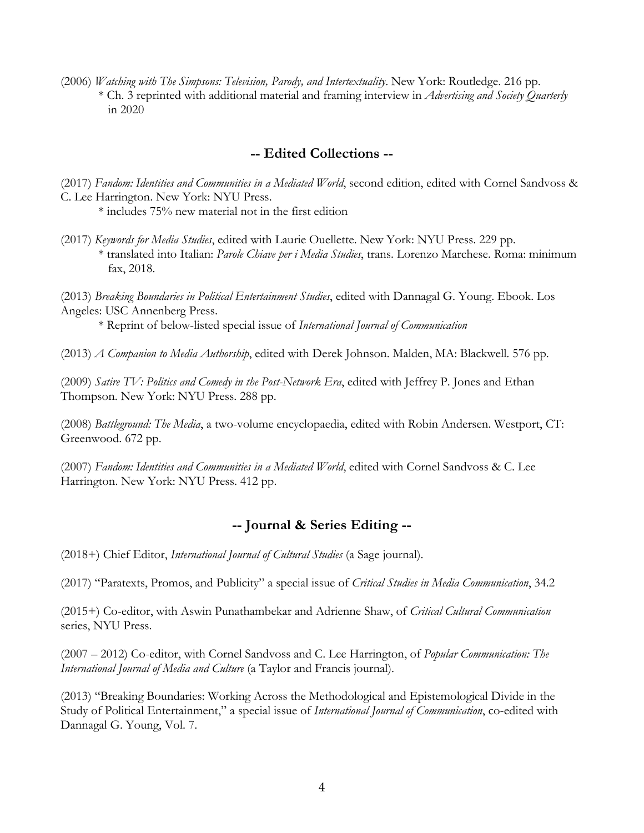(2006) *Watching with The Simpsons: Television, Parody, and Intertextuality*. New York: Routledge. 216 pp. \* Ch. 3 reprinted with additional material and framing interview in *Advertising and Society Quarterly* in 2020

### **-- Edited Collections --**

(2017) *Fandom: Identities and Communities in a Mediated World*, second edition, edited with Cornel Sandvoss & C. Lee Harrington. New York: NYU Press.

\* includes 75% new material not in the first edition

(2017) *Keywords for Media Studies*, edited with Laurie Ouellette. New York: NYU Press. 229 pp. \* translated into Italian: *Parole Chiave per i Media Studies*, trans. Lorenzo Marchese. Roma: minimum fax, 2018.

(2013) *Breaking Boundaries in Political Entertainment Studies*, edited with Dannagal G. Young. Ebook. Los Angeles: USC Annenberg Press.

\* Reprint of below-listed special issue of *International Journal of Communication*

(2013) *A Companion to Media Authorship*, edited with Derek Johnson. Malden, MA: Blackwell. 576 pp.

(2009) *Satire TV: Politics and Comedy in the Post-Network Era*, edited with Jeffrey P. Jones and Ethan Thompson. New York: NYU Press. 288 pp.

(2008) *Battleground: The Media*, a two-volume encyclopaedia, edited with Robin Andersen. Westport, CT: Greenwood. 672 pp.

(2007) *Fandom: Identities and Communities in a Mediated World*, edited with Cornel Sandvoss & C. Lee Harrington. New York: NYU Press. 412 pp.

# **-- Journal & Series Editing --**

(2018+) Chief Editor, *International Journal of Cultural Studies* (a Sage journal).

(2017) "Paratexts, Promos, and Publicity" a special issue of *Critical Studies in Media Communication*, 34.2

(2015+) Co-editor, with Aswin Punathambekar and Adrienne Shaw, of *Critical Cultural Communication* series, NYU Press.

(2007 – 2012) Co-editor, with Cornel Sandvoss and C. Lee Harrington, of *Popular Communication: The International Journal of Media and Culture* (a Taylor and Francis journal).

(2013) "Breaking Boundaries: Working Across the Methodological and Epistemological Divide in the Study of Political Entertainment," a special issue of *International Journal of Communication*, co-edited with Dannagal G. Young, Vol. 7.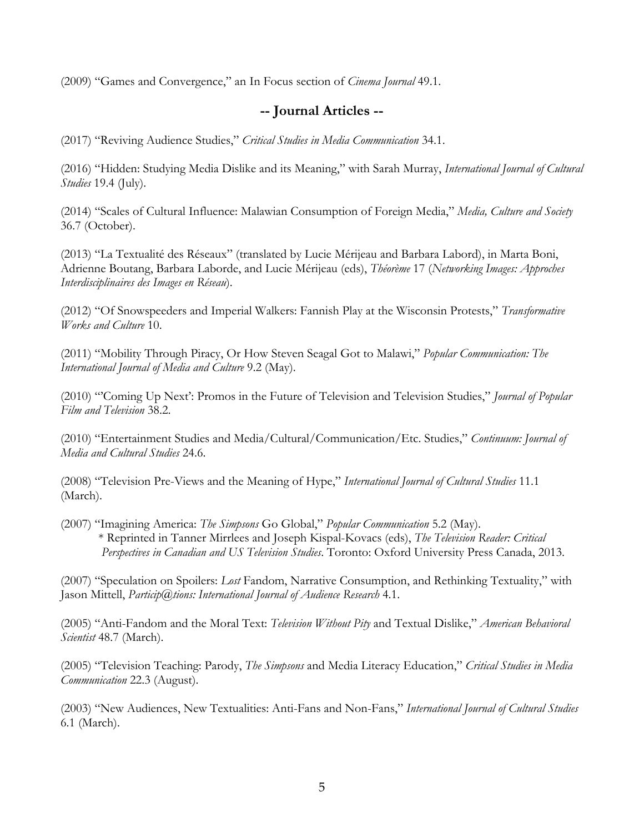(2009) "Games and Convergence," an In Focus section of *Cinema Journal* 49.1.

# **-- Journal Articles --**

(2017) "Reviving Audience Studies," *Critical Studies in Media Communication* 34.1.

(2016) "Hidden: Studying Media Dislike and its Meaning," with Sarah Murray, *International Journal of Cultural Studies* 19.4 (July).

(2014) "Scales of Cultural Influence: Malawian Consumption of Foreign Media," *Media, Culture and Society* 36.7 (October).

(2013) "La Textualité des Réseaux" (translated by Lucie Mérijeau and Barbara Labord), in Marta Boni, Adrienne Boutang, Barbara Laborde, and Lucie Mérijeau (eds), *Théorème* 17 (*Networking Images: Approches Interdisciplinaires des Images en Réseau*).

(2012) "Of Snowspeeders and Imperial Walkers: Fannish Play at the Wisconsin Protests," *Transformative Works and Culture* 10.

(2011) "Mobility Through Piracy, Or How Steven Seagal Got to Malawi," *Popular Communication: The International Journal of Media and Culture* 9.2 (May).

(2010) "'Coming Up Next': Promos in the Future of Television and Television Studies," *Journal of Popular Film and Television* 38.2.

(2010) "Entertainment Studies and Media/Cultural/Communication/Etc. Studies," *Continuum: Journal of Media and Cultural Studies* 24.6.

(2008) "Television Pre-Views and the Meaning of Hype," *International Journal of Cultural Studies* 11.1 (March).

(2007) "Imagining America: *The Simpsons* Go Global," *Popular Communication* 5.2 (May). \* Reprinted in Tanner Mirrlees and Joseph Kispal-Kovacs (eds), *The Television Reader: Critical Perspectives in Canadian and US Television Studies*. Toronto: Oxford University Press Canada, 2013.

(2007) "Speculation on Spoilers: *Lost* Fandom, Narrative Consumption, and Rethinking Textuality," with Jason Mittell, *Particip@tions: International Journal of Audience Research* 4.1.

(2005) "Anti-Fandom and the Moral Text: *Television Without Pity* and Textual Dislike," *American Behavioral Scientist* 48.7 (March).

(2005) "Television Teaching: Parody, *The Simpsons* and Media Literacy Education," *Critical Studies in Media Communication* 22.3 (August).

(2003) "New Audiences, New Textualities: Anti-Fans and Non-Fans," *International Journal of Cultural Studies* 6.1 (March).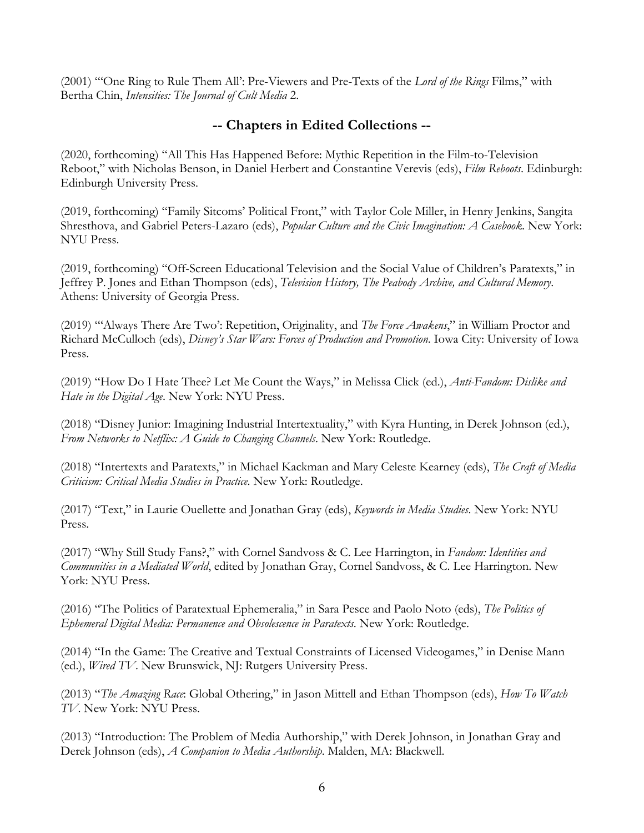(2001) "'One Ring to Rule Them All': Pre-Viewers and Pre-Texts of the *Lord of the Rings* Films," with Bertha Chin, *Intensities: The Journal of Cult Media* 2.

### **-- Chapters in Edited Collections --**

(2020, forthcoming) "All This Has Happened Before: Mythic Repetition in the Film-to-Television Reboot," with Nicholas Benson, in Daniel Herbert and Constantine Verevis (eds), *Film Reboots*. Edinburgh: Edinburgh University Press.

(2019, forthcoming) "Family Sitcoms' Political Front," with Taylor Cole Miller, in Henry Jenkins, Sangita Shresthova, and Gabriel Peters-Lazaro (eds), *Popular Culture and the Civic Imagination: A Casebook*. New York: NYU Press.

(2019, forthcoming) "Off-Screen Educational Television and the Social Value of Children's Paratexts," in Jeffrey P. Jones and Ethan Thompson (eds), *Television History, The Peabody Archive, and Cultural Memory*. Athens: University of Georgia Press.

(2019) "'Always There Are Two': Repetition, Originality, and *The Force Awakens*," in William Proctor and Richard McCulloch (eds), *Disney's Star Wars: Forces of Production and Promotion*. Iowa City: University of Iowa Press.

(2019) "How Do I Hate Thee? Let Me Count the Ways," in Melissa Click (ed.), *Anti-Fandom: Dislike and Hate in the Digital Age*. New York: NYU Press.

(2018) "Disney Junior: Imagining Industrial Intertextuality," with Kyra Hunting, in Derek Johnson (ed.), *From Networks to Netflix: A Guide to Changing Channels*. New York: Routledge.

(2018) "Intertexts and Paratexts," in Michael Kackman and Mary Celeste Kearney (eds), *The Craft of Media Criticism: Critical Media Studies in Practice*. New York: Routledge.

(2017) "Text," in Laurie Ouellette and Jonathan Gray (eds), *Keywords in Media Studies*. New York: NYU Press.

(2017) "Why Still Study Fans?," with Cornel Sandvoss & C. Lee Harrington, in *Fandom: Identities and Communities in a Mediated World*, edited by Jonathan Gray, Cornel Sandvoss, & C. Lee Harrington. New York: NYU Press.

(2016) "The Politics of Paratextual Ephemeralia," in Sara Pesce and Paolo Noto (eds), *The Politics of Ephemeral Digital Media: Permanence and Obsolescence in Paratexts*. New York: Routledge.

(2014) "In the Game: The Creative and Textual Constraints of Licensed Videogames," in Denise Mann (ed.), *Wired TV*. New Brunswick, NJ: Rutgers University Press.

(2013) "*The Amazing Race*: Global Othering," in Jason Mittell and Ethan Thompson (eds), *How To Watch TV*. New York: NYU Press.

(2013) "Introduction: The Problem of Media Authorship," with Derek Johnson, in Jonathan Gray and Derek Johnson (eds), *A Companion to Media Authorship*. Malden, MA: Blackwell.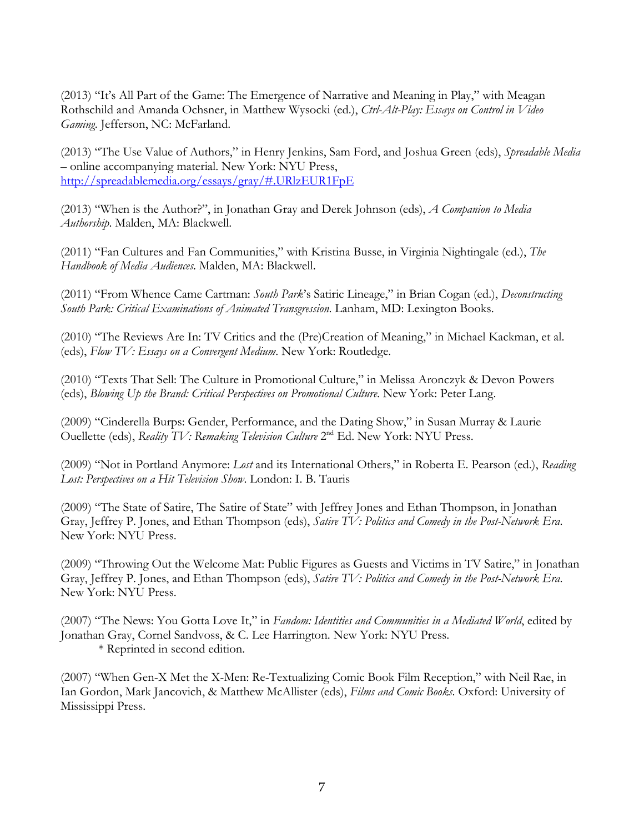(2013) "It's All Part of the Game: The Emergence of Narrative and Meaning in Play," with Meagan Rothschild and Amanda Ochsner, in Matthew Wysocki (ed.), *Ctrl-Alt-Play: Essays on Control in Video Gaming*. Jefferson, NC: McFarland.

(2013) "The Use Value of Authors," in Henry Jenkins, Sam Ford, and Joshua Green (eds), *Spreadable Media* – online accompanying material. New York: NYU Press, http://spreadablemedia.org/essays/gray/#.URlzEUR1FpE

(2013) "When is the Author?", in Jonathan Gray and Derek Johnson (eds), *A Companion to Media Authorship*. Malden, MA: Blackwell.

(2011) "Fan Cultures and Fan Communities," with Kristina Busse, in Virginia Nightingale (ed.), *The Handbook of Media Audiences*. Malden, MA: Blackwell.

(2011) "From Whence Came Cartman: *South Park*'s Satiric Lineage," in Brian Cogan (ed.), *Deconstructing South Park: Critical Examinations of Animated Transgression*. Lanham, MD: Lexington Books.

(2010) "The Reviews Are In: TV Critics and the (Pre)Creation of Meaning," in Michael Kackman, et al. (eds), *Flow TV: Essays on a Convergent Medium*. New York: Routledge.

(2010) "Texts That Sell: The Culture in Promotional Culture," in Melissa Aronczyk & Devon Powers (eds), *Blowing Up the Brand: Critical Perspectives on Promotional Culture*. New York: Peter Lang.

(2009) "Cinderella Burps: Gender, Performance, and the Dating Show," in Susan Murray & Laurie Ouellette (eds), *Reality TV: Remaking Television Culture* 2nd Ed. New York: NYU Press.

(2009) "Not in Portland Anymore: *Lost* and its International Others," in Roberta E. Pearson (ed.), *Reading Lost: Perspectives on a Hit Television Show*. London: I. B. Tauris

(2009) "The State of Satire, The Satire of State" with Jeffrey Jones and Ethan Thompson, in Jonathan Gray, Jeffrey P. Jones, and Ethan Thompson (eds), *Satire TV: Politics and Comedy in the Post-Network Era*. New York: NYU Press.

(2009) "Throwing Out the Welcome Mat: Public Figures as Guests and Victims in TV Satire," in Jonathan Gray, Jeffrey P. Jones, and Ethan Thompson (eds), *Satire TV: Politics and Comedy in the Post-Network Era*. New York: NYU Press.

(2007) "The News: You Gotta Love It," in *Fandom: Identities and Communities in a Mediated World*, edited by Jonathan Gray, Cornel Sandvoss, & C. Lee Harrington. New York: NYU Press. \* Reprinted in second edition.

(2007) "When Gen-X Met the X-Men: Re-Textualizing Comic Book Film Reception," with Neil Rae, in Ian Gordon, Mark Jancovich, & Matthew McAllister (eds), *Films and Comic Books*. Oxford: University of Mississippi Press.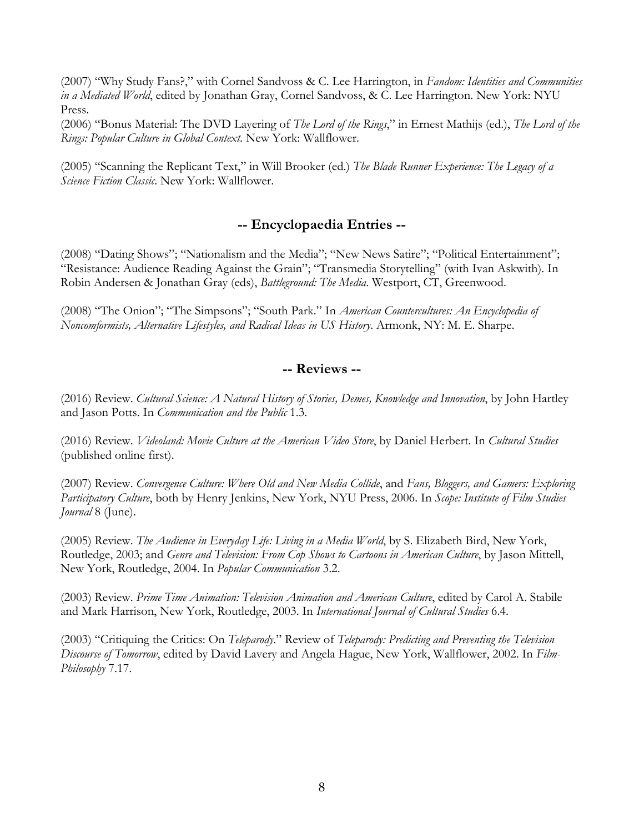(2007) "Why Study Fans?," with Cornel Sandvoss & C. Lee Harrington, in *Fandom: Identities and Communities in a Mediated World*, edited by Jonathan Gray, Cornel Sandvoss, & C. Lee Harrington. New York: NYU Press.

(2006) "Bonus Material: The DVD Layering of *The Lord of the Rings*," in Ernest Mathijs (ed.), *The Lord of the Rings: Popular Culture in Global Context*. New York: Wallflower.

(2005) "Scanning the Replicant Text," in Will Brooker (ed.) *The Blade Runner Experience: The Legacy of a Science Fiction Classic*. New York: Wallflower.

# **-- Encyclopaedia Entries --**

(2008) "Dating Shows"; "Nationalism and the Media"; "New News Satire"; "Political Entertainment"; "Resistance: Audience Reading Against the Grain"; "Transmedia Storytelling" (with Ivan Askwith). In Robin Andersen & Jonathan Gray (eds), *Battleground: The Media*. Westport, CT, Greenwood.

(2008) "The Onion"; "The Simpsons"; "South Park." In *American Countercultures: An Encyclopedia of Noncomformists, Alternative Lifestyles, and Radical Ideas in US History*. Armonk, NY: M. E. Sharpe.

### **-- Reviews --**

(2016) Review. *Cultural Science: A Natural History of Stories, Demes, Knowledge and Innovation*, by John Hartley and Jason Potts. In *Communication and the Public* 1.3.

(2016) Review. *Videoland: Movie Culture at the American Video Store*, by Daniel Herbert. In *Cultural Studies* (published online first).

(2007) Review. *Convergence Culture: Where Old and New Media Collide*, and *Fans, Bloggers, and Gamers: Exploring Participatory Culture*, both by Henry Jenkins, New York, NYU Press, 2006. In *Scope: Institute of Film Studies Journal* 8 (June).

(2005) Review. *The Audience in Everyday Life: Living in a Media World*, by S. Elizabeth Bird, New York, Routledge, 2003; and *Genre and Television: From Cop Shows to Cartoons in American Culture*, by Jason Mittell, New York, Routledge, 2004. In *Popular Communication* 3.2.

(2003) Review. *Prime Time Animation: Television Animation and American Culture*, edited by Carol A. Stabile and Mark Harrison, New York, Routledge, 2003. In *International Journal of Cultural Studies* 6.4.

(2003) "Critiquing the Critics: On *Teleparody*." Review of *Teleparody: Predicting and Preventing the Television Discourse of Tomorrow*, edited by David Lavery and Angela Hague, New York, Wallflower, 2002. In *Film-Philosophy* 7.17.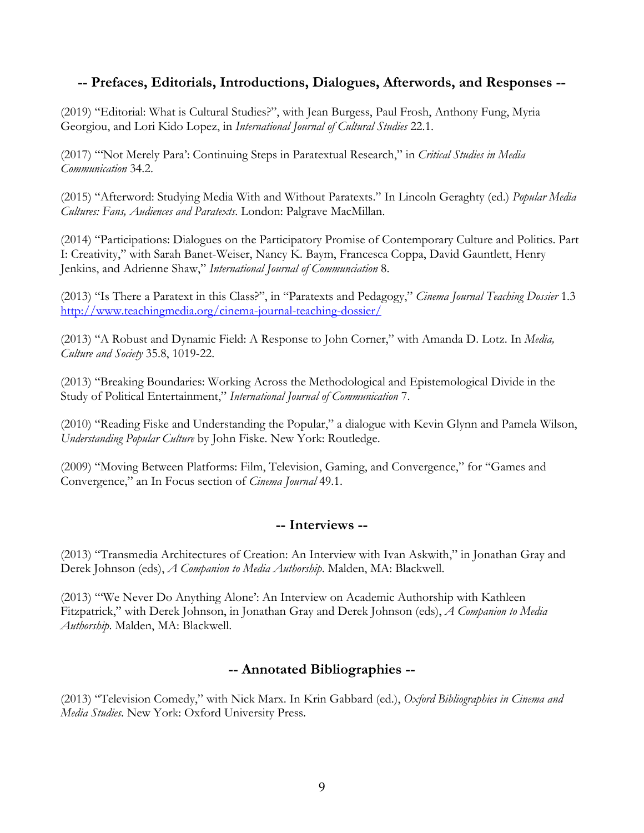### **-- Prefaces, Editorials, Introductions, Dialogues, Afterwords, and Responses --**

(2019) "Editorial: What is Cultural Studies?", with Jean Burgess, Paul Frosh, Anthony Fung, Myria Georgiou, and Lori Kido Lopez, in *International Journal of Cultural Studies* 22.1.

(2017) "'Not Merely Para': Continuing Steps in Paratextual Research," in *Critical Studies in Media Communication* 34.2.

(2015) "Afterword: Studying Media With and Without Paratexts." In Lincoln Geraghty (ed.) *Popular Media Cultures: Fans, Audiences and Paratexts*. London: Palgrave MacMillan.

(2014) "Participations: Dialogues on the Participatory Promise of Contemporary Culture and Politics. Part I: Creativity," with Sarah Banet-Weiser, Nancy K. Baym, Francesca Coppa, David Gauntlett, Henry Jenkins, and Adrienne Shaw," *International Journal of Communciation* 8.

(2013) "Is There a Paratext in this Class?", in "Paratexts and Pedagogy," *Cinema Journal Teaching Dossier* 1.3 http://www.teachingmedia.org/cinema-journal-teaching-dossier/

(2013) "A Robust and Dynamic Field: A Response to John Corner," with Amanda D. Lotz. In *Media, Culture and Society* 35.8, 1019-22.

(2013) "Breaking Boundaries: Working Across the Methodological and Epistemological Divide in the Study of Political Entertainment," *International Journal of Communication* 7.

(2010) "Reading Fiske and Understanding the Popular," a dialogue with Kevin Glynn and Pamela Wilson, *Understanding Popular Culture* by John Fiske. New York: Routledge.

(2009) "Moving Between Platforms: Film, Television, Gaming, and Convergence," for "Games and Convergence," an In Focus section of *Cinema Journal* 49.1.

### **-- Interviews --**

(2013) "Transmedia Architectures of Creation: An Interview with Ivan Askwith," in Jonathan Gray and Derek Johnson (eds), *A Companion to Media Authorship*. Malden, MA: Blackwell.

(2013) "'We Never Do Anything Alone': An Interview on Academic Authorship with Kathleen Fitzpatrick," with Derek Johnson, in Jonathan Gray and Derek Johnson (eds), *A Companion to Media Authorship*. Malden, MA: Blackwell.

### **-- Annotated Bibliographies --**

(2013) "Television Comedy," with Nick Marx. In Krin Gabbard (ed.), *Oxford Bibliographies in Cinema and Media Studies*. New York: Oxford University Press.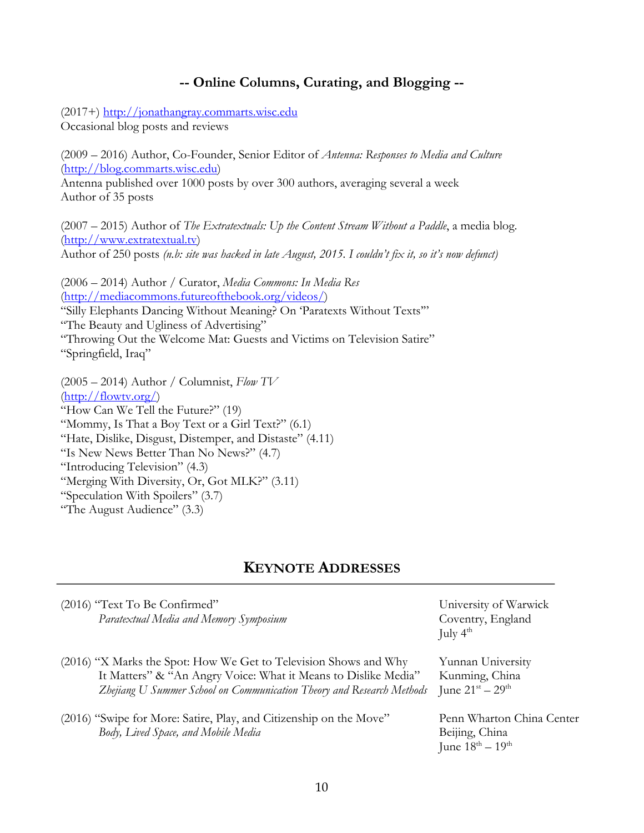### **-- Online Columns, Curating, and Blogging --**

(2017+) http://jonathangray.commarts.wisc.edu Occasional blog posts and reviews

(2009 – 2016) Author, Co-Founder, Senior Editor of *Antenna: Responses to Media and Culture* (http://blog.commarts.wisc.edu) Antenna published over 1000 posts by over 300 authors, averaging several a week

Author of 35 posts

(2007 – 2015) Author of *The Extratextuals: Up the Content Stream Without a Paddle*, a media blog. (http://www.extratextual.tv) Author of 250 posts *(n.b: site was hacked in late August, 2015. I couldn't fix it, so it's now defunct)*

(2006 – 2014) Author / Curator, *Media Commons: In Media Res* (http://mediacommons.futureofthebook.org/videos/) "Silly Elephants Dancing Without Meaning? On 'Paratexts Without Texts'" "The Beauty and Ugliness of Advertising" "Throwing Out the Welcome Mat: Guests and Victims on Television Satire" "Springfield, Iraq"

(2005 – 2014) Author / Columnist, *Flow TV* (http://flowtv.org/) "How Can We Tell the Future?" (19) "Mommy, Is That a Boy Text or a Girl Text?" (6.1) "Hate, Dislike, Disgust, Distemper, and Distaste" (4.11) "Is New News Better Than No News?" (4.7) "Introducing Television" (4.3) "Merging With Diversity, Or, Got MLK?" (3.11) "Speculation With Spoilers" (3.7) "The August Audience" (3.3)

### **KEYNOTE ADDRESSES**

| (2016) "Text To Be Confirmed"<br>Paratextual Media and Memory Symposium                                                                                                                                     | University of Warwick<br>Coventry, England<br>July $4^{\text{th}}$      |
|-------------------------------------------------------------------------------------------------------------------------------------------------------------------------------------------------------------|-------------------------------------------------------------------------|
| (2016) "X Marks the Spot: How We Get to Television Shows and Why<br>It Matters" & "An Angry Voice: What it Means to Dislike Media"<br>Zhejiang U Summer School on Communication Theory and Research Methods | Yunnan University<br>Kunming, China<br>June $21^{st} - 29^{th}$         |
| (2016) "Swipe for More: Satire, Play, and Citizenship on the Move"<br>Body, Lived Space, and Mobile Media                                                                                                   | Penn Wharton China Center<br>Beijing, China<br>June $18^{th} - 19^{th}$ |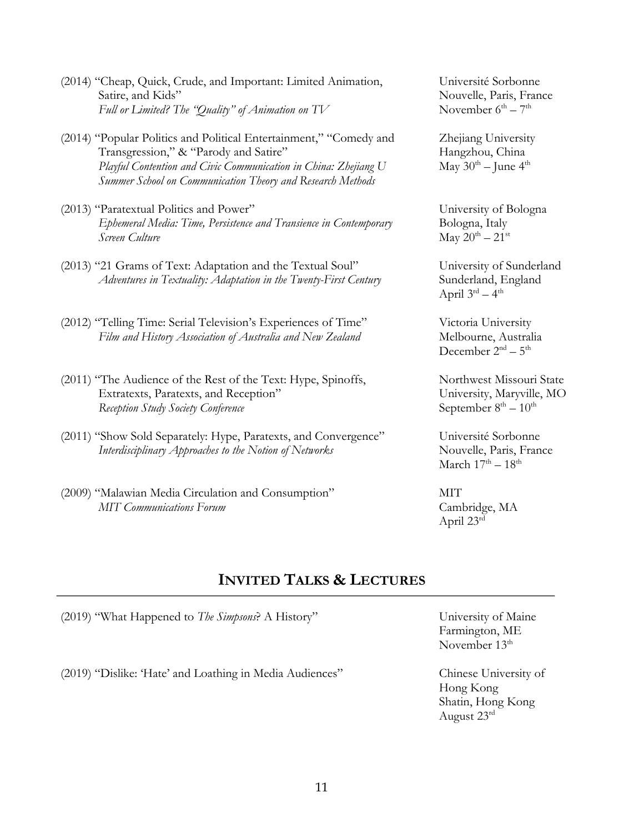- (2014) "Cheap, Quick, Crude, and Important: Limited Animation, Université Sorbonne Satire, and Kids" Nouvelle, Paris, France *Full or Limited? The "Quality" of Animation on TV* November  $6<sup>th</sup> - 7<sup>th</sup>$
- (2014) "Popular Politics and Political Entertainment," "Comedy and Zhejiang University Transgression," & "Parody and Satire" Hangzhou, China *Playful Contention and Civic Communication in China: Zhejiang U* May 30<sup>th</sup> – June 4<sup>th</sup> *Summer School on Communication Theory and Research Methods*
- (2013) "Paratextual Politics and Power" University of Bologna *Ephemeral Media: Time, Persistence and Transience in Contemporary* Bologna, Italy *Screen Culture* May  $20^{th} - 21^{st}$
- (2013) "21 Grams of Text: Adaptation and the Textual Soul" University of Sunderland *Adventures in Textuality: Adaptation in the Twenty-First Century* Sunderland, England
- (2012) "Telling Time: Serial Television's Experiences of Time" Victoria University *Film and History Association of Australia and New Zealand* Melbourne, Australia
- (2011) "The Audience of the Rest of the Text: Hype, Spinoffs, Northwest Missouri State Extratexts, Paratexts, and Reception" University, Maryville, MO *Reception Study Society Conference* September 8<sup>th</sup> – 10<sup>th</sup>
- (2011) "Show Sold Separately: Hype, Paratexts, and Convergence" Université Sorbonne *Interdisciplinary Approaches to the Notion of Networks* Nouvelle, Paris, France
- (2009) "Malawian Media Circulation and Consumption" MIT *MIT Communications Forum*  $\qquad \qquad$  Cambridge, MA

April  $3^{\text{rd}} - 4^{\text{th}}$ 

December  $2<sup>nd</sup> - 5<sup>th</sup>$ 

March  $17<sup>th</sup> - 18<sup>th</sup>$ 

April 23rd

# **INVITED TALKS & LECTURES**

(2019) "What Happened to *The Simpsons*? A History" University of Maine

(2019) "Dislike: 'Hate' and Loathing in Media Audiences" Chinese University of

Farmington, ME November 13<sup>th</sup>

Hong Kong Shatin, Hong Kong August 23rd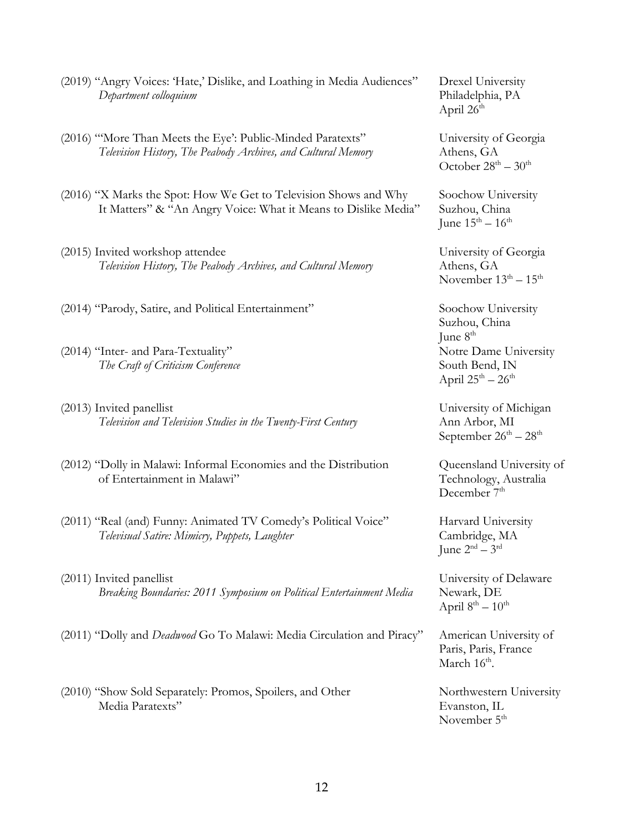- (2019) "Angry Voices: 'Hate,' Dislike, and Loathing in Media Audiences" Drexel University *Department colloquium* Philadelphia, PA
- (2016) "'More Than Meets the Eye': Public-Minded Paratexts" University of Georgia *Television History, The Peabody Archives, and Cultural Memory* Athens, GA
- (2016) "X Marks the Spot: How We Get to Television Shows and Why Soochow University It Matters" & "An Angry Voice: What it Means to Dislike Media" Suzhou, China
- (2015) Invited workshop attendee University of Georgia *Television History, The Peabody Archives, and Cultural Memory* Athens, GA
- (2014) "Parody, Satire, and Political Entertainment" Soochow University
- (2014) "Inter- and Para-Textuality" Notre Dame University *The Craft of Criticism Conference* South Bend, IN
- (2013) Invited panellist (2013) Invited panellist *Television and Television Studies in the Twenty-First Century* Ann Arbor, MI
- (2012) "Dolly in Malawi: Informal Economies and the Distribution Queensland University of of Entertainment in Malawi" Technology, Australia
- (2011) "Real (and) Funny: Animated TV Comedy's Political Voice" Harvard University *Televisual Satire: Mimicry, Puppets, Laughter* Cambridge, MA
- (2011) Invited panellist Communication Communication Communication Communication Communication Communication Communication Communication Communication Communication Communication Communication Communication Communication C *Breaking Boundaries: 2011 Symposium on Political Entertainment Media* Newark, DE
- (2011) "Dolly and *Deadwood* Go To Malawi: Media Circulation and Piracy" American University of
- (2010) "Show Sold Separately: Promos, Spoilers, and Other Northwestern University Media Paratexts" Evanston, IL

April  $26<sup>th</sup>$ 

October  $28^{th} - 30^{th}$ 

June  $15^{th} - 16^{th}$ 

November  $13<sup>th</sup> - 15<sup>th</sup>$ 

Suzhou, China June  $8<sup>th</sup>$ April  $25^{\text{th}} - 26^{\text{th}}$ 

September  $26^{th} - 28^{th}$ 

December 7<sup>th</sup>

June  $2<sup>nd</sup> - 3<sup>rd</sup>$ 

April  $8^{th} - 10^{th}$ 

Paris, Paris, France March  $16^{\text{th}}$ .

November  $5<sup>th</sup>$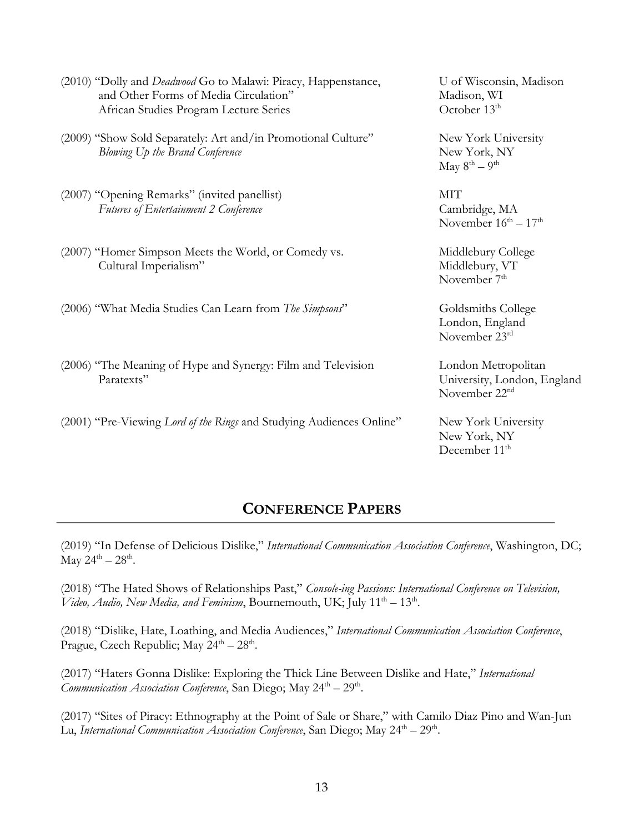| (2010) "Dolly and <i>Deadwood</i> Go to Malawi: Piracy, Happenstance,<br>and Other Forms of Media Circulation"<br>African Studies Program Lecture Series | U of Wisconsin, Madison<br>Madison, WI<br>October 13 <sup>th</sup>              |
|----------------------------------------------------------------------------------------------------------------------------------------------------------|---------------------------------------------------------------------------------|
| (2009) "Show Sold Separately: Art and/in Promotional Culture"<br>Blowing Up the Brand Conference                                                         | New York University<br>New York, NY<br>May $8^{th} - 9^{th}$                    |
| (2007) "Opening Remarks" (invited panellist)<br><b>Futures of Entertainment 2 Conference</b>                                                             | <b>MIT</b><br>Cambridge, MA<br>November $16^{\text{th}} - 17^{\text{th}}$       |
| (2007) "Homer Simpson Meets the World, or Comedy vs.<br>Cultural Imperialism"                                                                            | Middlebury College<br>Middlebury, VT<br>November 7 <sup>th</sup>                |
| (2006) "What Media Studies Can Learn from The Simpsons"                                                                                                  | Goldsmiths College<br>London, England<br>November 23rd                          |
| (2006) "The Meaning of Hype and Synergy: Film and Television<br>Paratexts"                                                                               | London Metropolitan<br>University, London, England<br>November 22 <sup>nd</sup> |
| (2001) "Pre-Viewing Lord of the Rings and Studying Audiences Online"                                                                                     | New York University<br>New York, NY<br>December 11 <sup>th</sup>                |

# **CONFERENCE PAPERS**

(2019) "In Defense of Delicious Dislike," *International Communication Association Conference*, Washington, DC;  $\text{May } 24^{\text{th}} - 28^{\text{th}}.$ 

(2018) "The Hated Shows of Relationships Past," *Console-ing Passions: International Conference on Television, Video, Audio, New Media, and Feminism*, Bournemouth, UK; July 11th – 13th.

(2018) "Dislike, Hate, Loathing, and Media Audiences," *International Communication Association Conference*, Prague, Czech Republic; May  $24^{th} - 28^{th}$ .

(2017) "Haters Gonna Dislike: Exploring the Thick Line Between Dislike and Hate," *International Communication Association Conference*, San Diego; May 24<sup>th</sup> – 29<sup>th</sup>.

(2017) "Sites of Piracy: Ethnography at the Point of Sale or Share," with Camilo Diaz Pino and Wan-Jun Lu, International Communication Association Conference, San Diego; May 24<sup>th</sup> – 29<sup>th</sup>.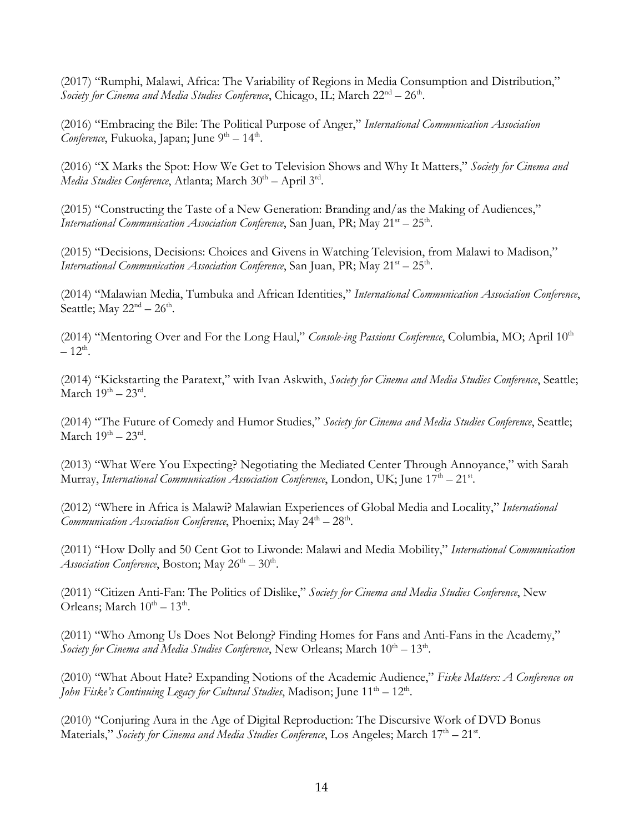(2017) "Rumphi, Malawi, Africa: The Variability of Regions in Media Consumption and Distribution," *Society for Cinema and Media Studies Conference*, Chicago, IL; March 22<sup>nd</sup> – 26<sup>th</sup>.

(2016) "Embracing the Bile: The Political Purpose of Anger," *International Communication Association Conference*, Fukuoka, Japan; June 9<sup>th</sup> – 14<sup>th</sup>.

(2016) "X Marks the Spot: How We Get to Television Shows and Why It Matters," *Society for Cinema and Media Studies Conference*, Atlanta; March 30<sup>th</sup> – April 3<sup>rd</sup>.

(2015) "Constructing the Taste of a New Generation: Branding and/as the Making of Audiences," *International Communication Association Conference*, San Juan, PR; May 21<sup>st</sup> – 25<sup>th</sup>.

(2015) "Decisions, Decisions: Choices and Givens in Watching Television, from Malawi to Madison," *International Communication Association Conference*, San Juan, PR; May 21<sup>st</sup> – 25<sup>th</sup>.

(2014) "Malawian Media, Tumbuka and African Identities," *International Communication Association Conference*, Seattle; May  $22<sup>nd</sup> - 26<sup>th</sup>$ .

(2014) "Mentoring Over and For the Long Haul," *Console-ing Passions Conference*, Columbia, MO; April 10<sup>th</sup>  $-12^{th}$ .

(2014) "Kickstarting the Paratext," with Ivan Askwith, *Society for Cinema and Media Studies Conference*, Seattle; March  $19^{th} - 23^{rd}$ .

(2014) "The Future of Comedy and Humor Studies," *Society for Cinema and Media Studies Conference*, Seattle; March  $19^{th} - 23^{rd}$ .

(2013) "What Were You Expecting? Negotiating the Mediated Center Through Annoyance," with Sarah Murray, *International Communication Association Conference*, London, UK; June 17<sup>th</sup> – 21<sup>st</sup>.

(2012) "Where in Africa is Malawi? Malawian Experiences of Global Media and Locality," *International Communication Association Conference*, Phoenix; May 24<sup>th</sup> – 28<sup>th</sup>.

(2011) "How Dolly and 50 Cent Got to Liwonde: Malawi and Media Mobility," *International Communication Association Conference*, Boston; May  $26^{th} - 30^{th}$ .

(2011) "Citizen Anti-Fan: The Politics of Dislike," *Society for Cinema and Media Studies Conference*, New Orleans; March  $10^{th} - 13^{th}$ .

(2011) "Who Among Us Does Not Belong? Finding Homes for Fans and Anti-Fans in the Academy," *Society for Cinema and Media Studies Conference*, New Orleans; March  $10^{th} - 13^{th}$ .

(2010) "What About Hate? Expanding Notions of the Academic Audience," *Fiske Matters: A Conference on John Fiske's Continuing Legacy for Cultural Studies*, Madison; June 11<sup>th</sup> – 12<sup>th</sup>.

(2010) "Conjuring Aura in the Age of Digital Reproduction: The Discursive Work of DVD Bonus Materials," Society for Cinema and Media Studies Conference, Los Angeles; March 17<sup>th</sup> – 21<sup>st</sup>.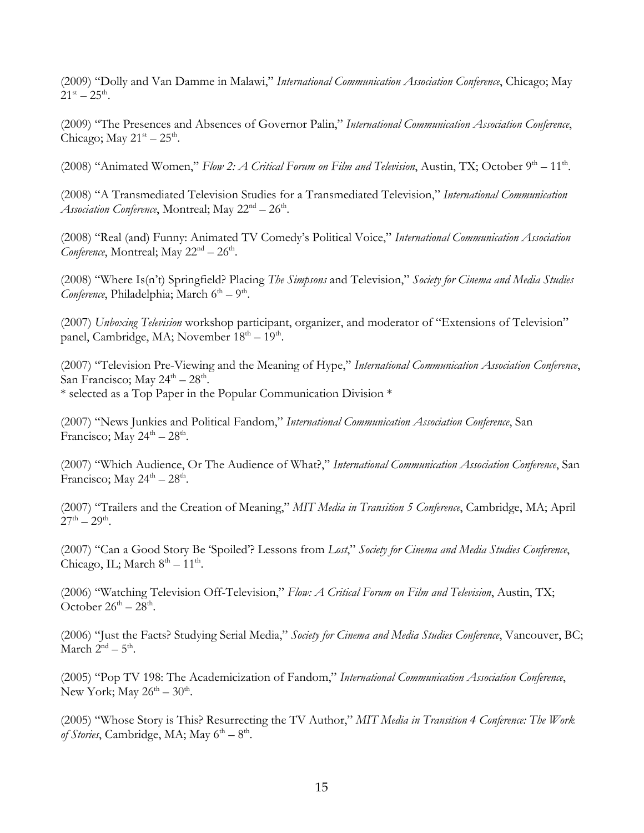(2009) "Dolly and Van Damme in Malawi," *International Communication Association Conference*, Chicago; May  $21^{\rm st} - 25^{\rm th}$ .

(2009) "The Presences and Absences of Governor Palin," *International Communication Association Conference*, Chicago; May  $21<sup>st</sup> - 25<sup>th</sup>$ .

(2008) "Animated Women," *Flow 2: A Critical Forum on Film and Television*, Austin, TX; October 9<sup>th</sup> – 11<sup>th</sup>.

(2008) "A Transmediated Television Studies for a Transmediated Television," *International Communication Association Conference*, Montreal; May  $22<sup>nd</sup> - 26<sup>th</sup>$ .

(2008) "Real (and) Funny: Animated TV Comedy's Political Voice," *International Communication Association Conference*, Montreal; May  $22<sup>nd</sup> - 26<sup>th</sup>$ .

(2008) "Where Is(n't) Springfield? Placing *The Simpsons* and Television," *Society for Cinema and Media Studies Conference*, Philadelphia; March 6<sup>th</sup> – 9<sup>th</sup>.

(2007) *Unboxing Television* workshop participant, organizer, and moderator of "Extensions of Television" panel, Cambridge, MA; November  $18<sup>th</sup> - 19<sup>th</sup>$ .

(2007) "Television Pre-Viewing and the Meaning of Hype," *International Communication Association Conference*, San Francisco; May  $24^{\text{th}} - 28^{\text{th}}$ . \* selected as a Top Paper in the Popular Communication Division \*

(2007) "News Junkies and Political Fandom," *International Communication Association Conference*, San Francisco; May  $24^{\text{th}} - 28^{\text{th}}$ .

(2007) "Which Audience, Or The Audience of What?," *International Communication Association Conference*, San Francisco; May  $24^{\text{th}} - 28^{\text{th}}$ .

(2007) "Trailers and the Creation of Meaning," *MIT Media in Transition 5 Conference*, Cambridge, MA; April  $27^{th} - 29^{th}$ .

(2007) "Can a Good Story Be 'Spoiled'? Lessons from *Lost*," *Society for Cinema and Media Studies Conference*, Chicago, IL; March  $8<sup>th</sup> - 11<sup>th</sup>$ .

(2006) "Watching Television Off-Television," *Flow: A Critical Forum on Film and Television*, Austin, TX; October  $26^{th} - 28^{th}$ .

(2006) "Just the Facts? Studying Serial Media," *Society for Cinema and Media Studies Conference*, Vancouver, BC; March  $2<sup>nd</sup> - 5<sup>th</sup>$ .

(2005) "Pop TV 198: The Academicization of Fandom," *International Communication Association Conference*, New York; May  $26^{th} - 30^{th}$ .

(2005) "Whose Story is This? Resurrecting the TV Author," *MIT Media in Transition 4 Conference: The Work of Stories*, Cambridge, MA; May  $6<sup>th</sup> - 8<sup>th</sup>$ .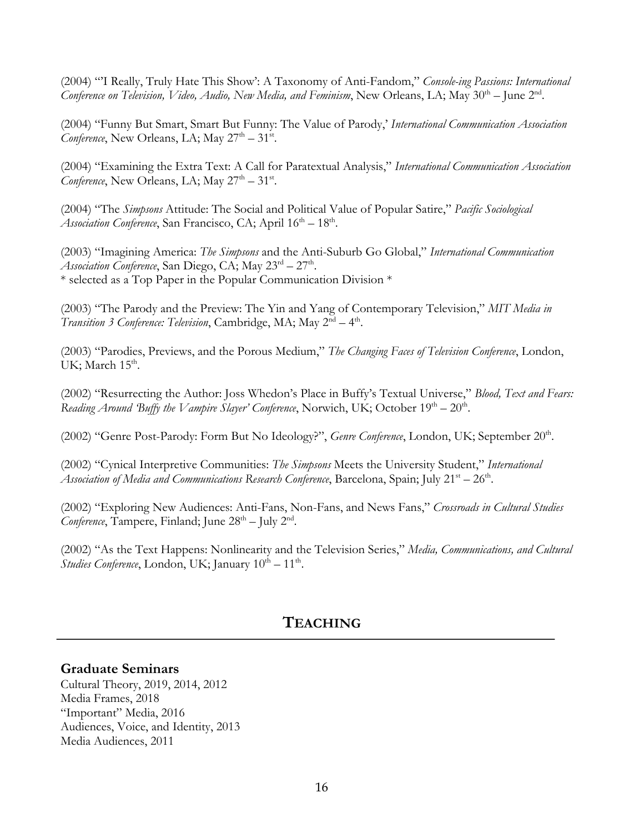(2004) "'I Really, Truly Hate This Show': A Taxonomy of Anti-Fandom," *Console-ing Passions: International Conference on Television, Video, Audio, New Media, and Feminism*, New Orleans, LA; May 30<sup>th</sup> – June 2<sup>nd</sup>.

(2004) "Funny But Smart, Smart But Funny: The Value of Parody,' *International Communication Association Conference*, New Orleans, LA; May  $27<sup>th</sup> - 31<sup>st</sup>$ .

(2004) "Examining the Extra Text: A Call for Paratextual Analysis," *International Communication Association Conference*, New Orleans, LA; May  $27<sup>th</sup> - 31<sup>st</sup>$ .

(2004) "The *Simpsons* Attitude: The Social and Political Value of Popular Satire," *Pacific Sociological Association Conference*, San Francisco, CA; April  $16<sup>th</sup> - 18<sup>th</sup>$ .

(2003) "Imagining America: *The Simpsons* and the Anti-Suburb Go Global," *International Communication Association Conference*, San Diego, CA; May  $23<sup>rd</sup> - 27<sup>th</sup>$ . \* selected as a Top Paper in the Popular Communication Division \*

(2003) "The Parody and the Preview: The Yin and Yang of Contemporary Television," *MIT Media in Transition 3 Conference: Television*, Cambridge, MA; May 2<sup>nd</sup> – 4<sup>th</sup>.

(2003) "Parodies, Previews, and the Porous Medium," *The Changing Faces of Television Conference*, London, UK; March 15<sup>th</sup>.

(2002) "Resurrecting the Author: Joss Whedon's Place in Buffy's Textual Universe," *Blood, Text and Fears: Reading Around 'Buffy the Vampire Slayer' Conference*, Norwich, UK; October  $19<sup>th</sup> - 20<sup>th</sup>$ .

(2002) "Genre Post-Parody: Form But No Ideology?", *Genre Conference*, London, UK; September 20<sup>th</sup>.

(2002) "Cynical Interpretive Communities: *The Simpsons* Meets the University Student," *International Association of Media and Communications Research Conference*, Barcelona, Spain; July  $21^{st} - 26^{th}$ .

(2002) "Exploring New Audiences: Anti-Fans, Non-Fans, and News Fans," *Crossroads in Cultural Studies Conference*, Tampere, Finland; June  $28<sup>th</sup> - \text{July } 2<sup>nd</sup>$ .

(2002) "As the Text Happens: Nonlinearity and the Television Series," *Media, Communications, and Cultural Studies Conference*, London, UK; January  $10^{th} - 11^{th}$ .

# **TEACHING**

### **Graduate Seminars**

Cultural Theory, 2019, 2014, 2012 Media Frames, 2018 "Important" Media, 2016 Audiences, Voice, and Identity, 2013 Media Audiences, 2011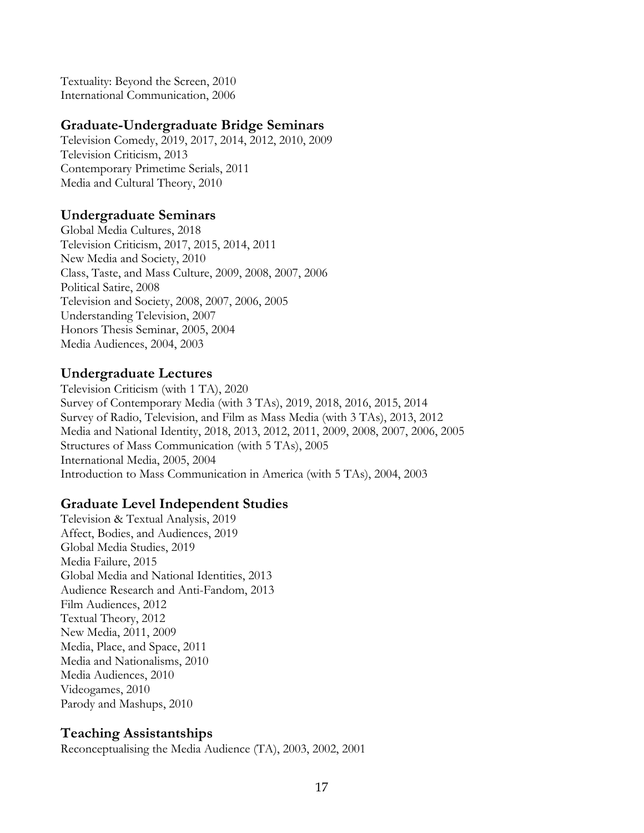Textuality: Beyond the Screen, 2010 International Communication, 2006

### **Graduate-Undergraduate Bridge Seminars**

Television Comedy, 2019, 2017, 2014, 2012, 2010, 2009 Television Criticism, 2013 Contemporary Primetime Serials, 2011 Media and Cultural Theory, 2010

### **Undergraduate Seminars**

Global Media Cultures, 2018 Television Criticism, 2017, 2015, 2014, 2011 New Media and Society, 2010 Class, Taste, and Mass Culture, 2009, 2008, 2007, 2006 Political Satire, 2008 Television and Society, 2008, 2007, 2006, 2005 Understanding Television, 2007 Honors Thesis Seminar, 2005, 2004 Media Audiences, 2004, 2003

### **Undergraduate Lectures**

Television Criticism (with 1 TA), 2020 Survey of Contemporary Media (with 3 TAs), 2019, 2018, 2016, 2015, 2014 Survey of Radio, Television, and Film as Mass Media (with 3 TAs), 2013, 2012 Media and National Identity, 2018, 2013, 2012, 2011, 2009, 2008, 2007, 2006, 2005 Structures of Mass Communication (with 5 TAs), 2005 International Media, 2005, 2004 Introduction to Mass Communication in America (with 5 TAs), 2004, 2003

### **Graduate Level Independent Studies**

Television & Textual Analysis, 2019 Affect, Bodies, and Audiences, 2019 Global Media Studies, 2019 Media Failure, 2015 Global Media and National Identities, 2013 Audience Research and Anti-Fandom, 2013 Film Audiences, 2012 Textual Theory, 2012 New Media, 2011, 2009 Media, Place, and Space, 2011 Media and Nationalisms, 2010 Media Audiences, 2010 Videogames, 2010 Parody and Mashups, 2010

### **Teaching Assistantships**

Reconceptualising the Media Audience (TA), 2003, 2002, 2001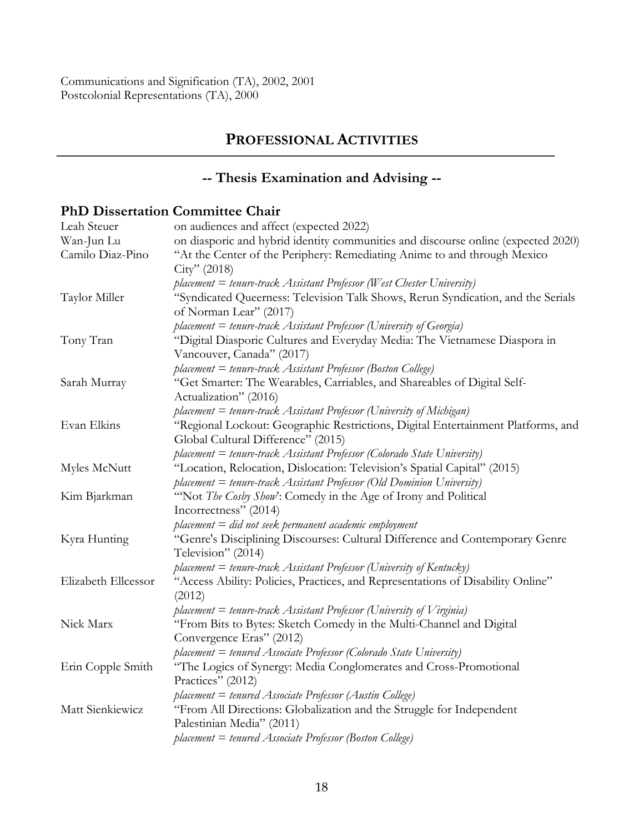# **PROFESSIONAL ACTIVITIES**

# **-- Thesis Examination and Advising --**

# **PhD Dissertation Committee Chair**

| Leah Steuer         | on audiences and affect (expected 2022)                                                                                                            |
|---------------------|----------------------------------------------------------------------------------------------------------------------------------------------------|
| Wan-Jun Lu          | on diasporic and hybrid identity communities and discourse online (expected 2020)                                                                  |
| Camilo Diaz-Pino    | "At the Center of the Periphery: Remediating Anime to and through Mexico<br>City''(2018)                                                           |
|                     | $placement = t$ enure-track Assistant Professor (West Chester University)                                                                          |
| Taylor Miller       | "Syndicated Queerness: Television Talk Shows, Rerun Syndication, and the Serials<br>of Norman Lear" (2017)                                         |
|                     |                                                                                                                                                    |
|                     | placement = tenure-track Assistant Professor (University of Georgia)<br>"Digital Diasporic Cultures and Everyday Media: The Vietnamese Diaspora in |
| Tony Tran           | Vancouver, Canada" (2017)                                                                                                                          |
|                     | placement = tenure-track Assistant Professor (Boston College)                                                                                      |
| Sarah Murray        | "Get Smarter: The Wearables, Carriables, and Shareables of Digital Self-                                                                           |
|                     | Actualization" (2016)                                                                                                                              |
|                     | placement = tenure-track Assistant Professor (University of Michigan)                                                                              |
| Evan Elkins         | "Regional Lockout: Geographic Restrictions, Digital Entertainment Platforms, and                                                                   |
|                     | Global Cultural Difference" (2015)                                                                                                                 |
|                     | placement = tenure-track Assistant Professor (Colorado State University)                                                                           |
| Myles McNutt        | "Location, Relocation, Dislocation: Television's Spatial Capital" (2015)                                                                           |
|                     | placement = tenure-track Assistant Professor (Old Dominion University)                                                                             |
| Kim Bjarkman        | "Not The Cosby Show': Comedy in the Age of Irony and Political                                                                                     |
|                     | Incorrectness" (2014)                                                                                                                              |
|                     | $placement = did not seek permanent academic employment$                                                                                           |
| Kyra Hunting        | "Genre's Disciplining Discourses: Cultural Difference and Contemporary Genre<br>Television" (2014)                                                 |
|                     | placement = tenure-track Assistant Professor (University of Kentucky)                                                                              |
| Elizabeth Ellcessor | "Access Ability: Policies, Practices, and Representations of Disability Online"<br>(2012)                                                          |
|                     | placement $=$ tenure-track Assistant Professor (University of Virginia)                                                                            |
| Nick Marx           | "From Bits to Bytes: Sketch Comedy in the Multi-Channel and Digital                                                                                |
|                     | Convergence Eras" (2012)                                                                                                                           |
|                     | placement = tenured Associate Professor (Colorado State University)                                                                                |
| Erin Copple Smith   | "The Logics of Synergy: Media Conglomerates and Cross-Promotional<br>Practices" (2012)                                                             |
|                     | placement = tenured Associate Professor (Austin College)                                                                                           |
| Matt Sienkiewicz    | "From All Directions: Globalization and the Struggle for Independent                                                                               |
|                     | Palestinian Media" (2011)                                                                                                                          |
|                     | $placement = truncated Associate Professor (Boston College)$                                                                                       |
|                     |                                                                                                                                                    |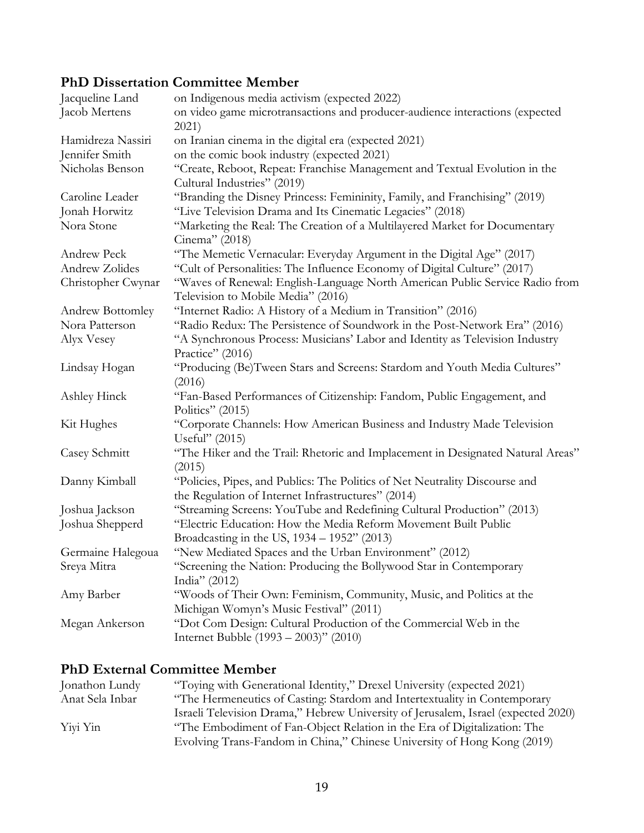# **PhD Dissertation Committee Member**

| Jacqueline Land         | on Indigenous media activism (expected 2022)                                                                                      |
|-------------------------|-----------------------------------------------------------------------------------------------------------------------------------|
| Jacob Mertens           | on video game microtransactions and producer-audience interactions (expected<br>2021)                                             |
| Hamidreza Nassiri       | on Iranian cinema in the digital era (expected 2021)                                                                              |
| Jennifer Smith          | on the comic book industry (expected 2021)                                                                                        |
| Nicholas Benson         | "Create, Reboot, Repeat: Franchise Management and Textual Evolution in the<br>Cultural Industries" (2019)                         |
| Caroline Leader         | "Branding the Disney Princess: Femininity, Family, and Franchising" (2019)                                                        |
| Jonah Horwitz           | "Live Television Drama and Its Cinematic Legacies" (2018)                                                                         |
| Nora Stone              | "Marketing the Real: The Creation of a Multilayered Market for Documentary<br>Cinema" (2018)                                      |
| Andrew Peck             | "The Memetic Vernacular: Everyday Argument in the Digital Age" (2017)                                                             |
| Andrew Zolides          | "Cult of Personalities: The Influence Economy of Digital Culture" (2017)                                                          |
| Christopher Cwynar      | "Waves of Renewal: English-Language North American Public Service Radio from<br>Television to Mobile Media" (2016)                |
| <b>Andrew Bottomley</b> | "Internet Radio: A History of a Medium in Transition" (2016)                                                                      |
| Nora Patterson          | "Radio Redux: The Persistence of Soundwork in the Post-Network Era" (2016)                                                        |
| Alyx Vesey              | "A Synchronous Process: Musicians' Labor and Identity as Television Industry<br>Practice" (2016)                                  |
| Lindsay Hogan           | "Producing (Be)Tween Stars and Screens: Stardom and Youth Media Cultures"<br>(2016)                                               |
| Ashley Hinck            | "Fan-Based Performances of Citizenship: Fandom, Public Engagement, and<br>Politics" (2015)                                        |
| Kit Hughes              | "Corporate Channels: How American Business and Industry Made Television<br>Useful" (2015)                                         |
| Casey Schmitt           | "The Hiker and the Trail: Rhetoric and Implacement in Designated Natural Areas"<br>(2015)                                         |
| Danny Kimball           | "Policies, Pipes, and Publics: The Politics of Net Neutrality Discourse and<br>the Regulation of Internet Infrastructures" (2014) |
| Joshua Jackson          | "Streaming Screens: YouTube and Redefining Cultural Production" (2013)                                                            |
| Joshua Shepperd         | "Electric Education: How the Media Reform Movement Built Public                                                                   |
|                         | Broadcasting in the US, 1934 - 1952" (2013)                                                                                       |
| Germaine Halegoua       | "New Mediated Spaces and the Urban Environment" (2012)                                                                            |
| Sreya Mitra             | "Screening the Nation: Producing the Bollywood Star in Contemporary<br>India" (2012)                                              |
| Amy Barber              | "Woods of Their Own: Feminism, Community, Music, and Politics at the<br>Michigan Womyn's Music Festival" (2011)                   |
| Megan Ankerson          | "Dot Com Design: Cultural Production of the Commercial Web in the<br>Internet Bubble (1993 – 2003)" (2010)                        |

# **PhD External Committee Member**

| Jonathon Lundy  | "Toying with Generational Identity," Drexel University (expected 2021)            |
|-----------------|-----------------------------------------------------------------------------------|
| Anat Sela Inbar | "The Hermeneutics of Casting: Stardom and Intertextuality in Contemporary         |
|                 | Israeli Television Drama," Hebrew University of Jerusalem, Israel (expected 2020) |
| Yiyi Yin        | "The Embodiment of Fan-Object Relation in the Era of Digitalization: The          |
|                 | Evolving Trans-Fandom in China," Chinese University of Hong Kong (2019)           |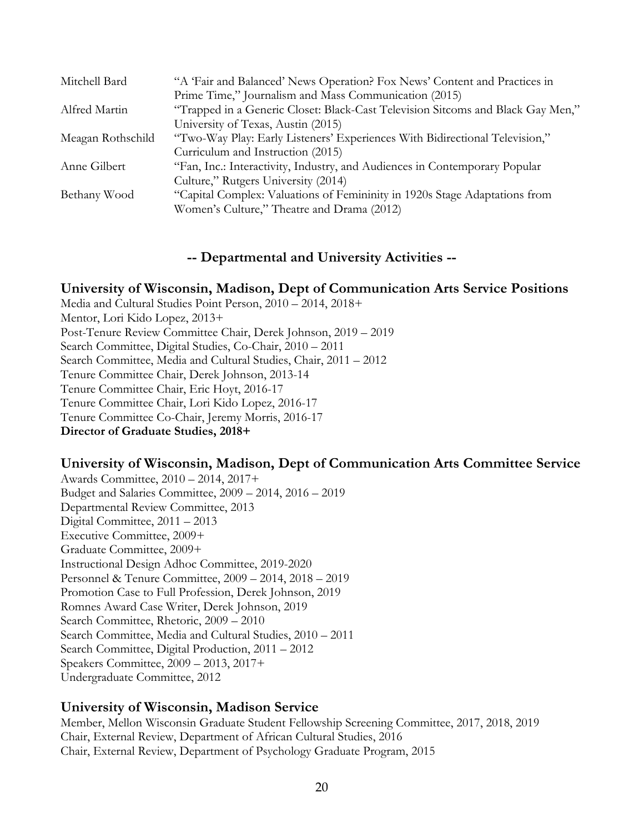| Mitchell Bard     | "A 'Fair and Balanced' News Operation? Fox News' Content and Practices in       |
|-------------------|---------------------------------------------------------------------------------|
|                   | Prime Time," Journalism and Mass Communication (2015)                           |
| Alfred Martin     | "Trapped in a Generic Closet: Black-Cast Television Sitcoms and Black Gay Men," |
|                   | University of Texas, Austin (2015)                                              |
| Meagan Rothschild | "Two-Way Play: Early Listeners' Experiences With Bidirectional Television,"     |
|                   | Curriculum and Instruction (2015)                                               |
| Anne Gilbert      | "Fan, Inc.: Interactivity, Industry, and Audiences in Contemporary Popular      |
|                   | Culture," Rutgers University (2014)                                             |
| Bethany Wood      | "Capital Complex: Valuations of Femininity in 1920s Stage Adaptations from      |
|                   | Women's Culture," Theatre and Drama (2012)                                      |

### **-- Departmental and University Activities --**

### **University of Wisconsin, Madison, Dept of Communication Arts Service Positions**

Media and Cultural Studies Point Person, 2010 – 2014, 2018+ Mentor, Lori Kido Lopez, 2013+ Post-Tenure Review Committee Chair, Derek Johnson, 2019 – 2019 Search Committee, Digital Studies, Co-Chair, 2010 – 2011 Search Committee, Media and Cultural Studies, Chair, 2011 – 2012 Tenure Committee Chair, Derek Johnson, 2013-14 Tenure Committee Chair, Eric Hoyt, 2016-17 Tenure Committee Chair, Lori Kido Lopez, 2016-17 Tenure Committee Co-Chair, Jeremy Morris, 2016-17 **Director of Graduate Studies, 2018+**

### **University of Wisconsin, Madison, Dept of Communication Arts Committee Service**

Awards Committee, 2010 – 2014, 2017+ Budget and Salaries Committee, 2009 – 2014, 2016 – 2019 Departmental Review Committee, 2013 Digital Committee, 2011 – 2013 Executive Committee, 2009+ Graduate Committee, 2009+ Instructional Design Adhoc Committee, 2019-2020 Personnel & Tenure Committee, 2009 – 2014, 2018 – 2019 Promotion Case to Full Profession, Derek Johnson, 2019 Romnes Award Case Writer, Derek Johnson, 2019 Search Committee, Rhetoric, 2009 – 2010 Search Committee, Media and Cultural Studies, 2010 – 2011 Search Committee, Digital Production, 2011 – 2012 Speakers Committee, 2009 – 2013, 2017+ Undergraduate Committee, 2012

### **University of Wisconsin, Madison Service**

Member, Mellon Wisconsin Graduate Student Fellowship Screening Committee, 2017, 2018, 2019 Chair, External Review, Department of African Cultural Studies, 2016 Chair, External Review, Department of Psychology Graduate Program, 2015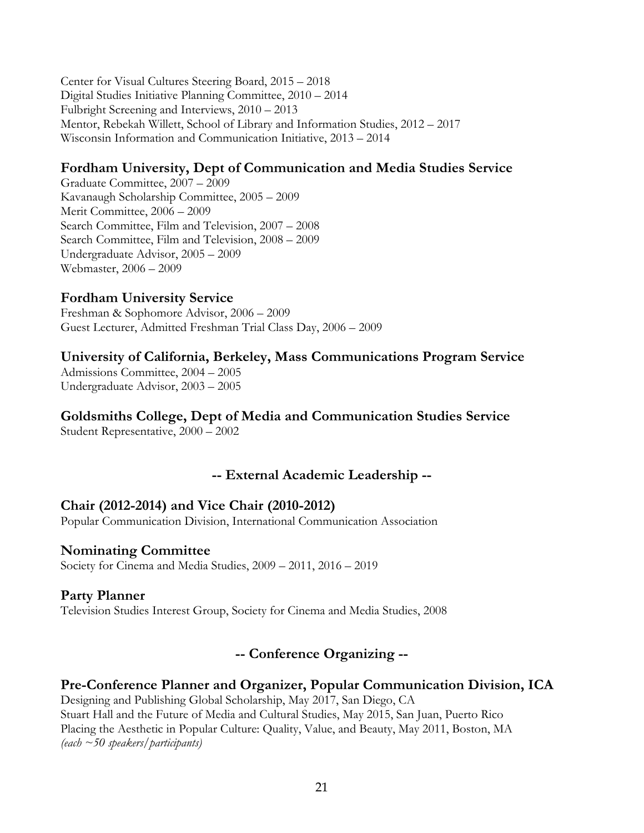Center for Visual Cultures Steering Board, 2015 – 2018 Digital Studies Initiative Planning Committee, 2010 – 2014 Fulbright Screening and Interviews, 2010 – 2013 Mentor, Rebekah Willett, School of Library and Information Studies, 2012 – 2017 Wisconsin Information and Communication Initiative, 2013 – 2014

# **Fordham University, Dept of Communication and Media Studies Service**

Graduate Committee, 2007 – 2009 Kavanaugh Scholarship Committee, 2005 – 2009 Merit Committee, 2006 – 2009 Search Committee, Film and Television, 2007 – 2008 Search Committee, Film and Television, 2008 – 2009 Undergraduate Advisor, 2005 – 2009 Webmaster, 2006 – 2009

### **Fordham University Service**

Freshman & Sophomore Advisor, 2006 – 2009 Guest Lecturer, Admitted Freshman Trial Class Day, 2006 – 2009

### **University of California, Berkeley, Mass Communications Program Service**

Admissions Committee, 2004 – 2005 Undergraduate Advisor, 2003 – 2005

# **Goldsmiths College, Dept of Media and Communication Studies Service**

Student Representative, 2000 – 2002

# **-- External Academic Leadership --**

### **Chair (2012-2014) and Vice Chair (2010-2012)**

Popular Communication Division, International Communication Association

### **Nominating Committee**

Society for Cinema and Media Studies, 2009 – 2011, 2016 – 2019

### **Party Planner**

Television Studies Interest Group, Society for Cinema and Media Studies, 2008

# **-- Conference Organizing --**

### **Pre-Conference Planner and Organizer, Popular Communication Division, ICA**

Designing and Publishing Global Scholarship, May 2017, San Diego, CA Stuart Hall and the Future of Media and Cultural Studies, May 2015, San Juan, Puerto Rico Placing the Aesthetic in Popular Culture: Quality, Value, and Beauty, May 2011, Boston, MA *(each ~50 speakers/participants)*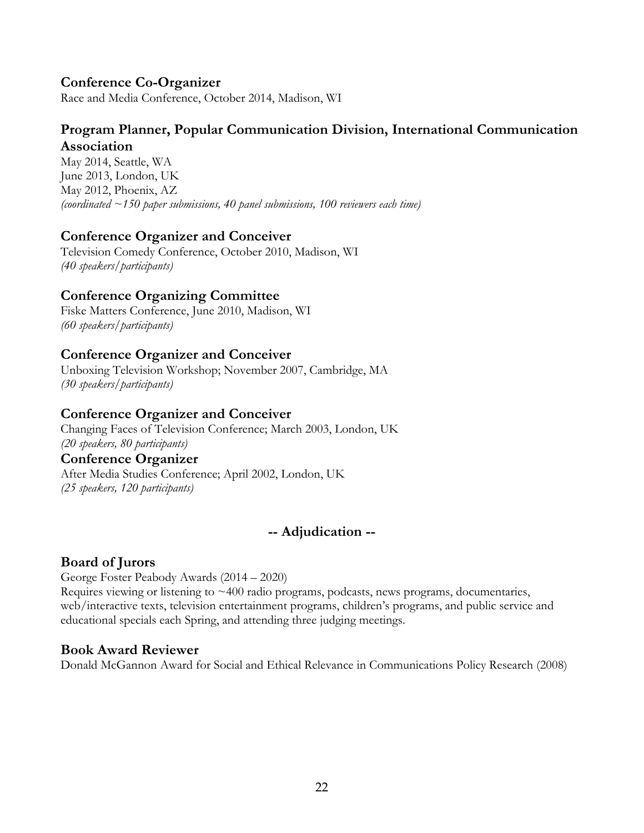# **Conference Co-Organizer**

Race and Media Conference, October 2014, Madison, WI

### **Program Planner, Popular Communication Division, International Communication Association**

May 2014, Seattle, WA June 2013, London, UK May 2012, Phoenix, AZ *(coordinated ~150 paper submissions, 40 panel submissions, 100 reviewers each time)*

# **Conference Organizer and Conceiver**

Television Comedy Conference, October 2010, Madison, WI *(40 speakers/participants)*

### **Conference Organizing Committee**

Fiske Matters Conference, June 2010, Madison, WI *(60 speakers/participants)*

# **Conference Organizer and Conceiver**

Unboxing Television Workshop; November 2007, Cambridge, MA *(30 speakers/participants)*

# **Conference Organizer and Conceiver**

Changing Faces of Television Conference; March 2003, London, UK *(20 speakers, 80 participants)* 

### **Conference Organizer**

After Media Studies Conference; April 2002, London, UK *(25 speakers, 120 participants)*

# **-- Adjudication --**

### **Board of Jurors**

George Foster Peabody Awards (2014 – 2020) Requires viewing or listening to  $\sim$  400 radio programs, podcasts, news programs, documentaries, web/interactive texts, television entertainment programs, children's programs, and public service and educational specials each Spring, and attending three judging meetings.

### **Book Award Reviewer**

Donald McGannon Award for Social and Ethical Relevance in Communications Policy Research (2008)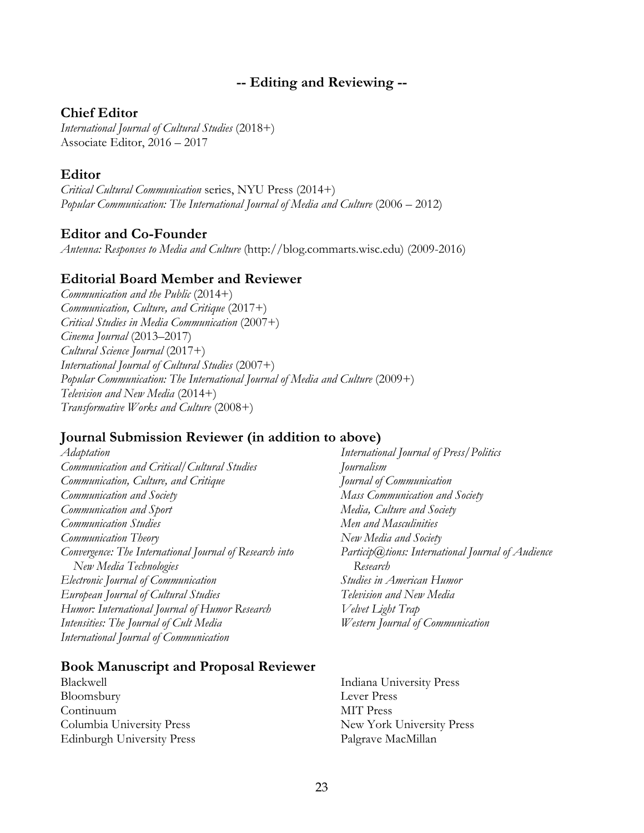### **-- Editing and Reviewing --**

#### **Chief Editor**

*International Journal of Cultural Studies* (2018+) Associate Editor, 2016 – 2017

#### **Editor**

*Critical Cultural Communication* series, NYU Press (2014+) *Popular Communication: The International Journal of Media and Culture* (2006 – 2012)

#### **Editor and Co-Founder**

*Antenna: Responses to Media and Culture* (http://blog.commarts.wisc.edu) (2009-2016)

#### **Editorial Board Member and Reviewer**

*Communication and the Public* (2014+) *Communication, Culture, and Critique* (2017+) *Critical Studies in Media Communication* (2007+) *Cinema Journal* (2013–2017) *Cultural Science Journal* (2017+) *International Journal of Cultural Studies* (2007+) *Popular Communication: The International Journal of Media and Culture* (2009+) *Television and New Media* (2014+) *Transformative Works and Culture* (2008+)

### **Journal Submission Reviewer (in addition to above)**

*Adaptation Communication and Critical/Cultural Studies Communication, Culture, and Critique Communication and Society Communication and Sport Communication Studies Communication Theory Convergence: The International Journal of Research into New Media Technologies Electronic Journal of Communication European Journal of Cultural Studies Humor: International Journal of Humor Research Intensities: The Journal of Cult Media International Journal of Communication*

#### **Book Manuscript and Proposal Reviewer**

Blackwell Bloomsbury Continuum Columbia University Press Edinburgh University Press

*International Journal of Press/Politics Journalism Journal of Communication Mass Communication and Society Media, Culture and Society Men and Masculinities New Media and Society Particip@tions: International Journal of Audience Research Studies in American Humor Television and New Media Velvet Light Trap Western Journal of Communication* 

Indiana University Press Lever Press MIT Press New York University Press Palgrave MacMillan